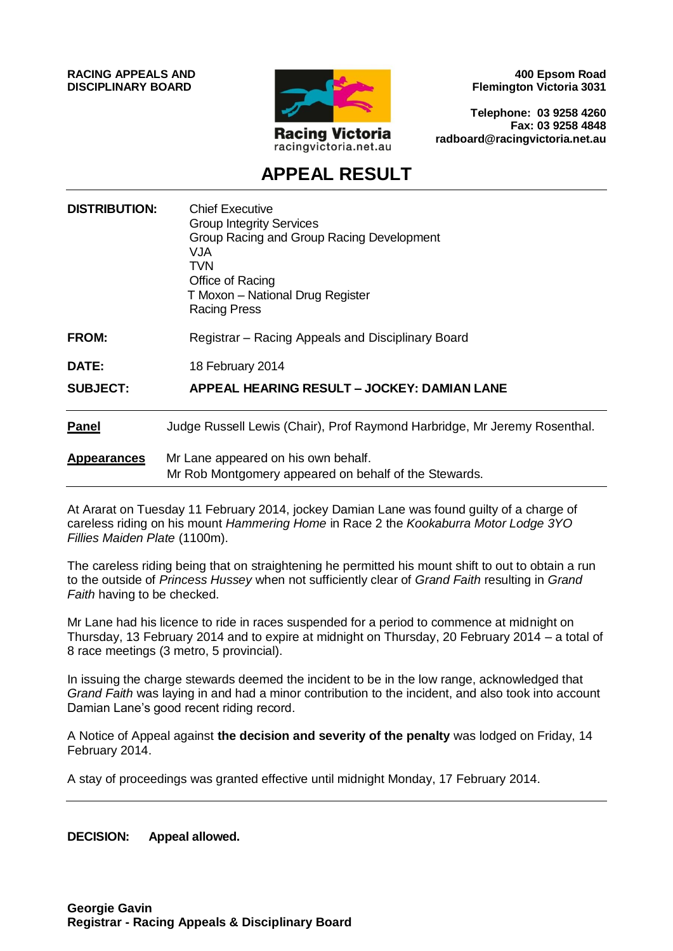**RACING APPEALS AND DISCIPLINARY BOARD**



**400 Epsom Road Flemington Victoria 3031**

**Telephone: 03 9258 4260 Fax: 03 9258 4848 radboard@racingvictoria.net.au**

## **APPEAL RESULT**

| <b>DISTRIBUTION:</b> | <b>Chief Executive</b><br><b>Group Integrity Services</b><br>Group Racing and Group Racing Development<br>VJA<br>TVN<br>Office of Racing<br>T Moxon - National Drug Register<br><b>Racing Press</b> |
|----------------------|-----------------------------------------------------------------------------------------------------------------------------------------------------------------------------------------------------|
| <b>FROM:</b>         | Registrar – Racing Appeals and Disciplinary Board                                                                                                                                                   |
| <b>DATE:</b>         | 18 February 2014                                                                                                                                                                                    |
| <b>SUBJECT:</b>      | APPEAL HEARING RESULT – JOCKEY: DAMIAN LANE                                                                                                                                                         |
| <b>Panel</b>         | Judge Russell Lewis (Chair), Prof Raymond Harbridge, Mr Jeremy Rosenthal.                                                                                                                           |
| <b>Appearances</b>   | Mr Lane appeared on his own behalf.<br>Mr Rob Montgomery appeared on behalf of the Stewards.                                                                                                        |

At Ararat on Tuesday 11 February 2014, jockey Damian Lane was found guilty of a charge of careless riding on his mount *Hammering Home* in Race 2 the *Kookaburra Motor Lodge 3YO Fillies Maiden Plate* (1100m).

The careless riding being that on straightening he permitted his mount shift to out to obtain a run to the outside of *Princess Hussey* when not sufficiently clear of *Grand Faith* resulting in *Grand Faith* having to be checked.

Mr Lane had his licence to ride in races suspended for a period to commence at midnight on Thursday, 13 February 2014 and to expire at midnight on Thursday, 20 February 2014 – a total of 8 race meetings (3 metro, 5 provincial).

In issuing the charge stewards deemed the incident to be in the low range, acknowledged that *Grand Faith* was laying in and had a minor contribution to the incident, and also took into account Damian Lane's good recent riding record.

A Notice of Appeal against **the decision and severity of the penalty** was lodged on Friday, 14 February 2014.

A stay of proceedings was granted effective until midnight Monday, 17 February 2014.

**DECISION: Appeal allowed.**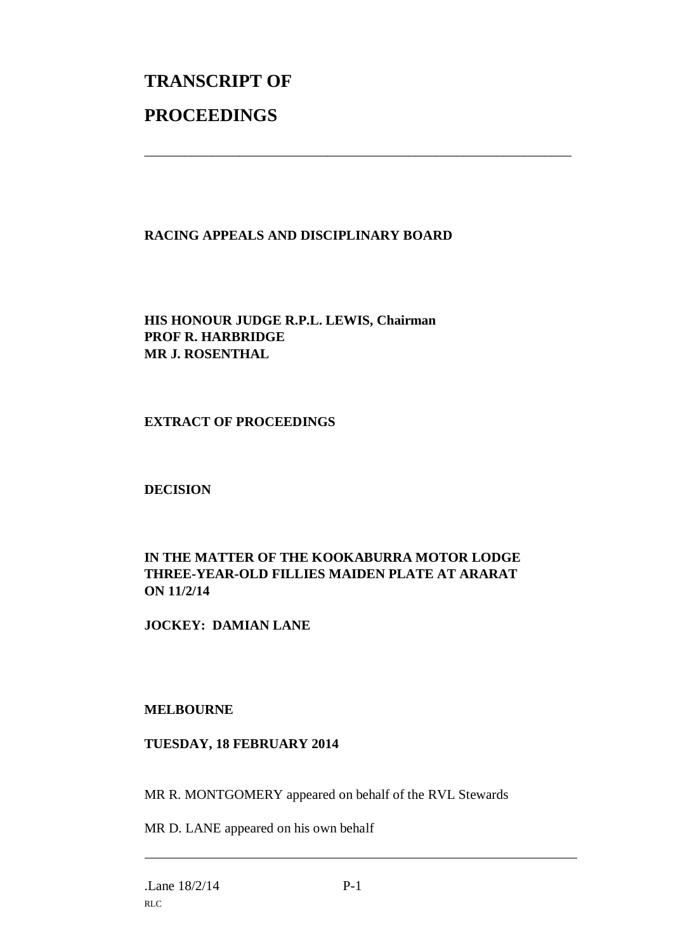# **TRANSCRIPT OF PROCEEDINGS**

### **RACING APPEALS AND DISCIPLINARY BOARD**

\_\_\_\_\_\_\_\_\_\_\_\_\_\_\_\_\_\_\_\_\_\_\_\_\_\_\_\_\_\_\_\_\_\_\_\_\_\_\_\_\_\_\_\_\_\_\_\_\_\_\_\_\_\_\_\_\_\_\_\_\_\_\_

**HIS HONOUR JUDGE R.P.L. LEWIS, Chairman PROF R. HARBRIDGE MR J. ROSENTHAL**

**EXTRACT OF PROCEEDINGS**

**DECISION**

### **IN THE MATTER OF THE KOOKABURRA MOTOR LODGE THREE-YEAR-OLD FILLIES MAIDEN PLATE AT ARARAT ON 11/2/14**

**JOCKEY: DAMIAN LANE**

### **MELBOURNE**

#### **TUESDAY, 18 FEBRUARY 2014**

MR R. MONTGOMERY appeared on behalf of the RVL Stewards

MR D. LANE appeared on his own behalf